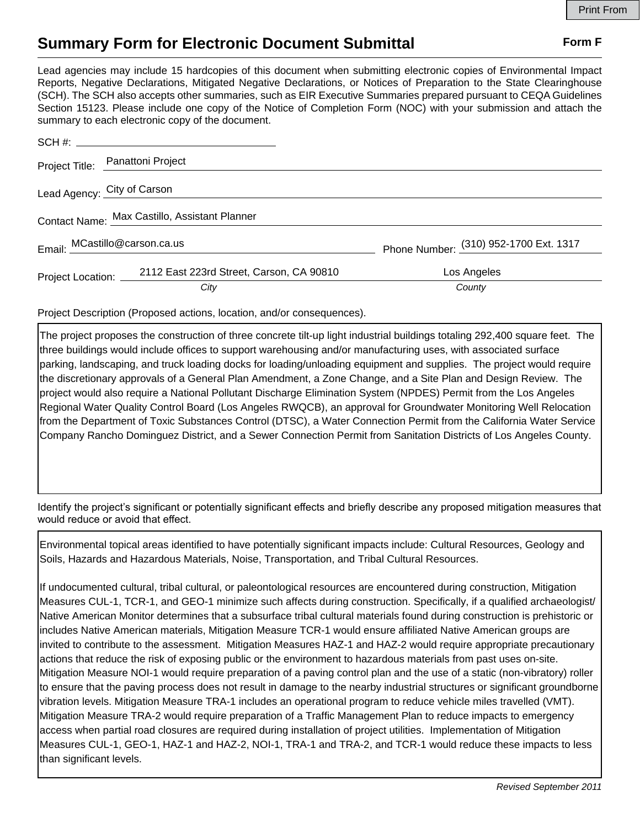## **Summary Form for Electronic Document Submittal Form F Form F**

Lead agencies may include 15 hardcopies of this document when submitting electronic copies of Environmental Impact Reports, Negative Declarations, Mitigated Negative Declarations, or Notices of Preparation to the State Clearinghouse (SCH). The SCH also accepts other summaries, such as EIR Executive Summaries prepared pursuant to CEQA Guidelines Section 15123. Please include one copy of the Notice of Completion Form (NOC) with your submission and attach the summary to each electronic copy of the document.

|                               | Project Title: Panattoni Project              |                                        |
|-------------------------------|-----------------------------------------------|----------------------------------------|
|                               | Lead Agency: City of Carson                   |                                        |
|                               | Contact Name: Max Castillo, Assistant Planner |                                        |
|                               |                                               |                                        |
| Email: MCastillo@carson.ca.us |                                               | Phone Number: (310) 952-1700 Ext. 1317 |
| Project Location: ______      | 2112 East 223rd Street, Carson, CA 90810      | Los Angeles                            |
|                               | City                                          | County                                 |

Project Description (Proposed actions, location, and/or consequences).

The project proposes the construction of three concrete tilt-up light industrial buildings totaling 292,400 square feet. The three buildings would include offices to support warehousing and/or manufacturing uses, with associated surface parking, landscaping, and truck loading docks for loading/unloading equipment and supplies. The project would require the discretionary approvals of a General Plan Amendment, a Zone Change, and a Site Plan and Design Review. The project would also require a National Pollutant Discharge Elimination System (NPDES) Permit from the Los Angeles Regional Water Quality Control Board (Los Angeles RWQCB), an approval for Groundwater Monitoring Well Relocation from the Department of Toxic Substances Control (DTSC), a Water Connection Permit from the California Water Service Company Rancho Dominguez District, and a Sewer Connection Permit from Sanitation Districts of Los Angeles County.

Identify the project's significant or potentially significant effects and briefly describe any proposed mitigation measures that would reduce or avoid that effect.

Environmental topical areas identified to have potentially significant impacts include: Cultural Resources, Geology and Soils, Hazards and Hazardous Materials, Noise, Transportation, and Tribal Cultural Resources.

If undocumented cultural, tribal cultural, or paleontological resources are encountered during construction, Mitigation Measures CUL-1, TCR-1, and GEO-1 minimize such affects during construction. Specifically, if a qualified archaeologist/ Native American Monitor determines that a subsurface tribal cultural materials found during construction is prehistoric or includes Native American materials, Mitigation Measure TCR-1 would ensure affiliated Native American groups are invited to contribute to the assessment. Mitigation Measures HAZ-1 and HAZ-2 would require appropriate precautionary actions that reduce the risk of exposing public or the environment to hazardous materials from past uses on-site. Mitigation Measure NOI-1 would require preparation of a paving control plan and the use of a static (non-vibratory) roller to ensure that the paving process does not result in damage to the nearby industrial structures or significant groundborne vibration levels. Mitigation Measure TRA-1 includes an operational program to reduce vehicle miles travelled (VMT). Mitigation Measure TRA-2 would require preparation of a Traffic Management Plan to reduce impacts to emergency access when partial road closures are required during installation of project utilities. Implementation of Mitigation Measures CUL-1, GEO-1, HAZ-1 and HAZ-2, NOI-1, TRA-1 and TRA-2, and TCR-1 would reduce these impacts to less than significant levels.